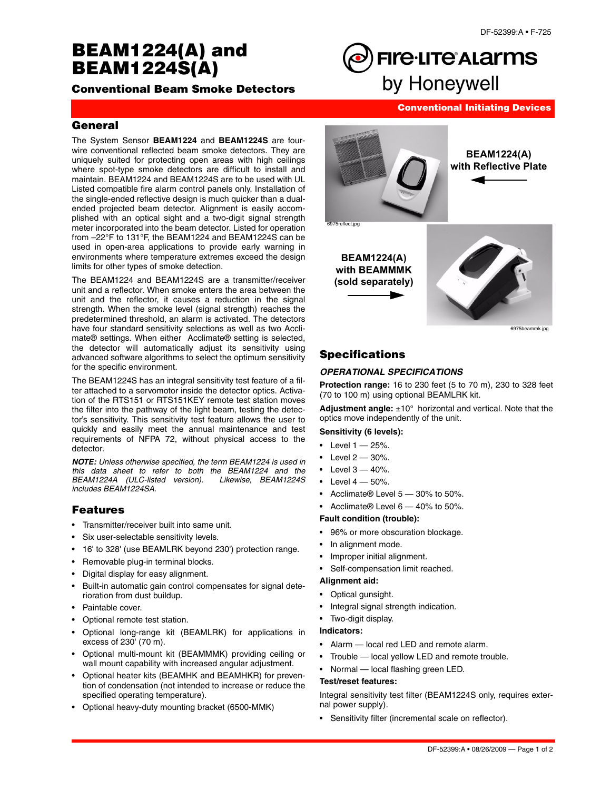# **BEAM1224(A) and BEAM1224S(A)**

**Conventional Beam Smoke Detectors**

**Conventional Initiating Devices**

**FIre·LITe** ALarms

by Honeywell

# **General**

The System Sensor **BEAM1224** and **BEAM1224S** are fourwire conventional reflected beam smoke detectors. They are uniquely suited for protecting open areas with high ceilings where spot-type smoke detectors are difficult to install and maintain. BEAM1224 and BEAM1224S are to be used with UL Listed compatible fire alarm control panels only. Installation of the single-ended reflective design is much quicker than a dualended projected beam detector. Alignment is easily accomplished with an optical sight and a two-digit signal strength meter incorporated into the beam detector. Listed for operation from –22°F to 131°F, the BEAM1224 and BEAM1224S can be used in open-area applications to provide early warning in environments where temperature extremes exceed the design limits for other types of smoke detection.

The BEAM1224 and BEAM1224S are a transmitter/receiver unit and a reflector. When smoke enters the area between the unit and the reflector, it causes a reduction in the signal strength. When the smoke level (signal strength) reaches the predetermined threshold, an alarm is activated. The detectors have four standard sensitivity selections as well as two Acclimate® settings. When either Acclimate® setting is selected, the detector will automatically adjust its sensitivity using advanced software algorithms to select the optimum sensitivity for the specific environment.

The BEAM1224S has an integral sensitivity test feature of a filter attached to a servomotor inside the detector optics. Activation of the RTS151 or RTS151KEY remote test station moves the filter into the pathway of the light beam, testing the detector's sensitivity. This sensitivity test feature allows the user to quickly and easily meet the annual maintenance and test requirements of NFPA 72, without physical access to the detector.

*NOTE: Unless otherwise specified, the term BEAM1224 is used in this data sheet to refer to both the BEAM1224 and the BEAM1224A (ULC-listed version). Likewise, BEAM1224S includes BEAM1224SA.*

# **Features**

- Transmitter/receiver built into same unit.
- Six user-selectable sensitivity levels.
- 16' to 328' (use BEAMLRK beyond 230') protection range.
- Removable plug-in terminal blocks.
- Digital display for easy alignment.
- Built-in automatic gain control compensates for signal deterioration from dust buildup.
- Paintable cover.
- Optional remote test station.
- Optional long-range kit (BEAMLRK) for applications in excess of 230' (70 m).
- Optional multi-mount kit (BEAMMMK) providing ceiling or wall mount capability with increased angular adjustment.
- Optional heater kits (BEAMHK and BEAMHKR) for prevention of condensation (not intended to increase or reduce the specified operating temperature).
- Optional heavy-duty mounting bracket (6500-MMK)



6975beammk.jpg

# **Specifications**

## *OPERATIONAL SPECIFICATIONS*

**Protection range:** 16 to 230 feet (5 to 70 m), 230 to 328 feet (70 to 100 m) using optional BEAMLRK kit.

**Adjustment angle:** ±10° horizontal and vertical. Note that the optics move independently of the unit.

#### **Sensitivity (6 levels):**

- $\cdot$  Level  $1 25%$ .
- Level  $2 30%$ .
- Level  $3 40%$ .
- Level  $4 50%$ .
- Acclimate® Level 5 30% to 50%.
- Acclimate® Level 6 40% to 50%.

## **Fault condition (trouble):**

- 96% or more obscuration blockage.
- In alignment mode.
- Improper initial alignment.
- Self-compensation limit reached.

#### **Alignment aid:**

- Optical gunsight.
- Integral signal strength indication.
- Two-digit display.

#### **Indicators:**

- Alarm local red LED and remote alarm.
- Trouble local yellow LED and remote trouble.
- Normal local flashing green LED.

#### **Test/reset features:**

Integral sensitivity test filter (BEAM1224S only, requires external power supply).

• Sensitivity filter (incremental scale on reflector).